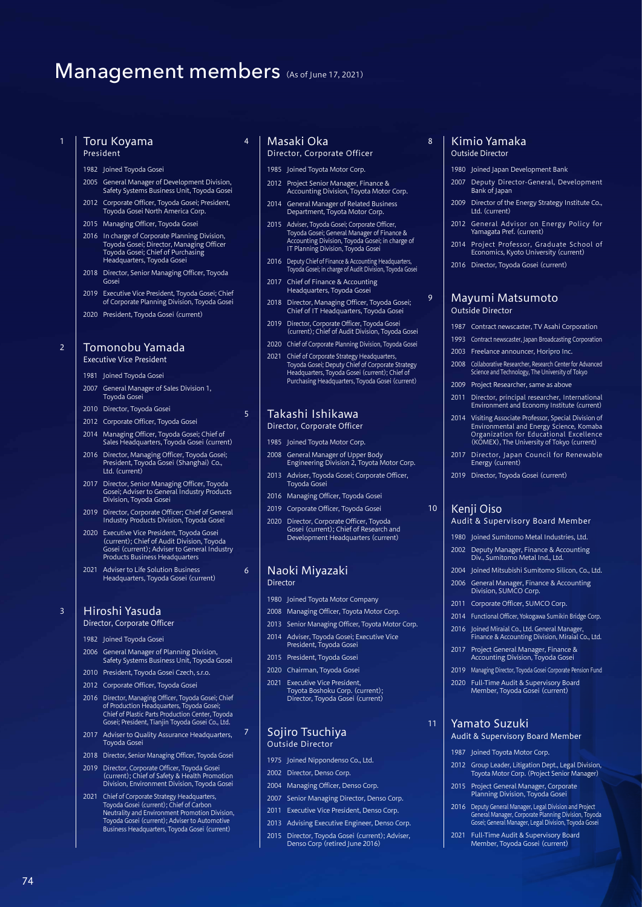# Management members (As of June 17, 2021)

#### Toru Koyama President

1982 Joined Toyoda Gosei

- 2005 General Manager of Development Division, Safety Systems Business Unit, Toyoda Gosei 2012 Corporate Officer, Toyoda Gosei; President,
- Toyoda Gosei North America Corp.
- 2015 Managing Officer, Toyoda Gose
- 2016 In charge of Corporate Planning Division, Toyoda Gosei; Director, Managing Officer Toyoda Gosei; Chief of Purchasing Headquarters, Toyoda Gosei
- 2018 Director, Senior Managing Officer, Toyoda Gosei
- 2019 Executive Vice President, Toyoda Gosei; Chief of Corporate Planning Division, Toyoda Gosei
- 2020 President, Toyoda Gosei (current)

### Tomonobu Yamada Executive Vice President

2

3

74

- 1981 Joined Toyoda Gosei
- 2007 General Manager of Sales Division 1, Toyoda Gosei
- 2010 Director, Toyoda Gosei
- 2012 Corporate Officer, Toyoda Gosei
- 2014 Managing Officer, Toyoda Gosei; Chief of Sales Headquarters, Toyoda Gosei (current)
- 2016 Director, Managing Officer, Toyoda Gosei; President, Toyoda Gosei (Shanghai) Co., Ltd. (current)
- 2017 Director, Senior Managing Officer, Toyoda Gosei; Adviser to General Industry Products Division, Toyoda Gosei
- 2019 Director, Corporate Officer; Chief of General Industry Products Division, Toyoda Gosei
- 2020 Executive Vice President, Toyoda Gosei (current); Chief of Audit Division, Toyoda Gosei (current); Adviser to General Industry Products Business Headquarters
- 2021 Adviser to Life Solution Business Headquarters, Toyoda Gosei (current)

# Hiroshi Yasuda

Director, Corporate Officer

- 1982 Joined Toyoda Gosei
- 2006 General Manager of Planning Division, Safety Systems Business Unit, Toyoda Gosei
- 2010 President, Toyoda Gosei Czech, s.r.o. 2012 Corporate Officer, Toyoda Gosei
- 2016 Director, Managing Officer, Toyoda Gosei; Chief
- of Production Headquarters, Toyoda Gosei; Chief of Plastic Parts Production Center, Toyoda Gosei; President, Tianjin Toyoda Gosei Co., Ltd. 2017 Adviser to Quality Assurance Headquarters,
- Toyoda Gosei
- 2018 Director, Senior Managing Officer, Toyoda Gosei
- 2019 Director, Corporate Officer, Toyoda Gosei (current); Chief of Safety & Health Promotion Division, Environment Division, Toyoda Gosei
- 2021 Chief of Corporate Strategy Headquarters, Toyoda Gosei (current); Chief of Carbon Neutrality and Environment Promotion Division, Toyoda Gosei (current); Adviser to Automotive Business Headquarters, Toyoda Gosei (current)

## <sup>4</sup> Masaki Oka Director, Corporate Officer

- 1985 Joined Toyota Motor Corp.
- 2012 Project Senior Manager, Finance & Accounting Division, Toyota Motor Corp.
- 2014 General Manager of Related Business Department, Toyota Motor Corp.
- 2015 Adviser, Toyoda Gosei; Corporate Officer, Toyoda Gosei; General Manager of Finance & Accounting Division, Toyoda Gosei; in charge of IT Planning Division, Toyoda Gosei
- 2016 Deputy Chief of Finance & Accounting Headquarters, Toyoda Gosei; in charge of Audit Division, Toyoda Gosei
- 2017 Chief of Finance & Accounting Headquarters, Toyoda Gosei
- 2018 Director, Managing Officer, Toyoda Gosei; Chief of IT Headquarters, Toyoda Gosei
- 2019 Director, Corporate Officer, Toyoda Gosei (current); Chief of Audit Division, Toyoda Gosei
- 2020 Chief of Corporate Planning Division, Toyoda Gosei
- 2021 Chief of Corporate Strategy Headquarters, Toyoda Gosei; Deputy Chief of Corporate Strategy Headquarters, Toyoda Gosei (current); Chief of Purchasing Headquarters, Toyoda Gosei (current)

#### <sup>5</sup> Takashi Ishikawa Director, Corporate Officer

- 1985 Joined Toyota Motor Corp.
- 2008 General Manager of Upper Body Engineering Division 2, Toyota Motor Corp.
- 2013 Adviser, Toyoda Gosei; Corporate Officer, Toyoda Gosei
- 2016 Managing Officer, Toyoda Gosei
- 2019 Corporate Officer, Toyoda Gosei
- 2020 Director, Corporate Officer, Toyoda Gosei (current); Chief of Research and Development Headquarters (current)

#### <sup>6</sup> Naoki Miyazaki Director

- 1980 Joined Toyota Motor Company
- 2008 Managing Officer, Toyota Motor Corp.
- 2013 Senior Managing Officer, Toyota Motor Corp.
- 2014 Adviser, Toyoda Gosei; Executive Vice President, Toyoda Gosei
- 2015 President, Toyoda Gosei
- 2020 Chairman, Toyoda Gosei
- 2021 Executive Vice President Toyota Boshoku Corp. (current); Director, Toyoda Gosei (current)

# <sup>7</sup> Sojiro Tsuchiya Outside Director

- 1975 Joined Nippondenso Co., Ltd.
- 2002 Director, Denso Corp.
- 2004 Managing Officer, Denso Corp.
- 2007 Senior Managing Director, Denso Corp.
- 2011 Executive Vice President, Denso Corp.
- 2013 Advising Executive Engineer, Denso Corp.
- 2015 Director, Toyoda Gosei (current); Adviser, Denso Corp (retired June 2016)

#### 8 | Kimio Yamaka Outside Director

- 1980 Joined Japan Development Bank
- 2007 Deputy Director-General, Development Bank of Japan
- 2009 Director of the Energy Strategy Institute Co., Ltd. (current)
- 2012 General Advisor on Energy Policy for Yamagata Pref. (current)
- 2014 Project Professor, Graduate School of Economics, Kyoto University (current)
- 2016 Director, Toyoda Gosei (current)

#### <sup>9</sup> Mayumi Matsumoto Outside Director

- 1987 Contract newscaster, TV Asahi Corporation
- 1993 Contract newscaster, Japan Broadcasting Corporation
- 2003 Freelance announcer, Horipro Inc.
- 2008 Collaborative Researcher, Research Center for Advanced Science and Technology, The University of Tokyo
- 2009 Project Researcher, same as above
- 2011 Director, principal researcher, International Environment and Economy Institute (current)
- 2014 Visiting Associate Professor, Special Division of Environmental and Energy Science, Komaba Organization for Educational Excellence (KOMEX), The University of Tokyo (current)
- 2017 Director, Japan Council for Renewable Energy (current)
- 2019 Director, Toyoda Gosei (current)

# 10 | Kenji Oiso

## Audit & Supervisory Board Member

- 1980 Joined Sumitomo Metal Industries, Ltd.
- 2002 Deputy Manager, Finance & Accounting Div., Sumitomo Metal Ind., Ltd.
- 2004 Joined Mitsubishi Sumitomo Silicon, Co., Ltd.
- 2006 General Manager, Finance & Accounting Division, SUMCO Corp.
- 2011 Corporate Officer, SUMCO Corp.
- 2014 Functional Officer, Yokogawa Sumikin Bridge Corp. 2016 Joined Miraial Co., Ltd. General Manager,
- Finance & Accounting Division, Miraial Co., Ltd. 2017 Project General Manager, Finance & Accounting Division, Toyoda Gosei
- 2019 Managing Director, Toyoda Gosei Corporate Pension Fund
- 2020 Full-Time Audit & Supervisory Board
- Member, Toyoda Gosei (current)

# <sup>11</sup> Yamato Suzuki

- Audit & Supervisory Board Member
- 1987 Joined Toyota Motor Corp.
	- 2012 Group Leader, Litigation Dept., Legal Division, Toyota Motor Corp. (Project Senior Manager)

2016 Deputy General Manager, Legal Division and Project General Manager, Corporate Planning Division, Toyoda Gosei; General Manager, Legal Division, Toyoda Gosei 2021 Full-Time Audit & Supervisory Board Member, Toyoda Gosei (current)

2015 Project General Manager, Corporate Planning Division, Toyoda Gosei